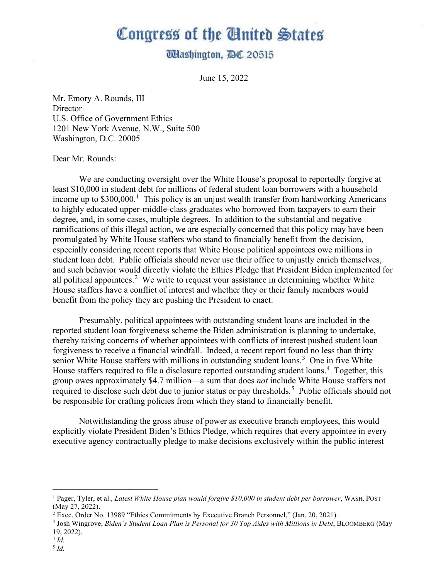## Congress of the United States

## **Udashington, AC 20515**

June 15, 2022

Mr. Emory A. Rounds, III **Director** U.S. Office of Government Ethics 1201 New York Avenue, N.W., Suite 500 Washington, D.C. 20005

## Dear Mr. Rounds:

We are conducting oversight over the White House's proposal to reportedly forgive at least \$10,000 in student debt for millions of federal student loan borrowers with a household income up to \$300,000. [1](#page-0-0) This policy is an unjust wealth transfer from hardworking Americans to highly educated upper-middle-class graduates who borrowed from taxpayers to earn their degree, and, in some cases, multiple degrees. In addition to the substantial and negative ramifications of this illegal action, we are especially concerned that this policy may have been promulgated by White House staffers who stand to financially benefit from the decision, especially considering recent reports that White House political appointees owe millions in student loan debt. Public officials should never use their office to unjustly enrich themselves, and such behavior would directly violate the Ethics Pledge that President Biden implemented for all political appointees.<sup>[2](#page-0-1)</sup> We write to request your assistance in determining whether White House staffers have a conflict of interest and whether they or their family members would benefit from the policy they are pushing the President to enact.

Presumably, political appointees with outstanding student loans are included in the reported student loan forgiveness scheme the Biden administration is planning to undertake, thereby raising concerns of whether appointees with conflicts of interest pushed student loan forgiveness to receive a financial windfall. Indeed, a recent report found no less than thirty senior White House staffers with millions in outstanding student loans.<sup>[3](#page-0-2)</sup> One in five White House staffers required to file a disclosure reported outstanding student loans.<sup>[4](#page-0-3)</sup> Together, this group owes approximately \$4.7 million—a sum that does *not* include White House staffers not required to disclose such debt due to junior status or pay thresholds.<sup>[5](#page-0-4)</sup> Public officials should not be responsible for crafting policies from which they stand to financially benefit.

Notwithstanding the gross abuse of power as executive branch employees, this would explicitly violate President Biden's Ethics Pledge, which requires that every appointee in every executive agency contractually pledge to make decisions exclusively within the public interest

<span id="page-0-0"></span><sup>1</sup> Pager, Tyler, et al., *Latest White House plan would forgive \$10,000 in student debt per borrower*, WASH. POST (May 27, 2022).

<span id="page-0-1"></span> $2 \text{ E}$ xec. Order No. 13989 "Ethics Commitments by Executive Branch Personnel," (Jan. 20, 2021).

<span id="page-0-2"></span><sup>3</sup> Josh Wingrove, *Biden's Student Loan Plan is Personal for 30 Top Aides with Millions in Debt*, BLOOMBERG (May 19, 2022).

<span id="page-0-4"></span><span id="page-0-3"></span> $^{4}$  *Id.*